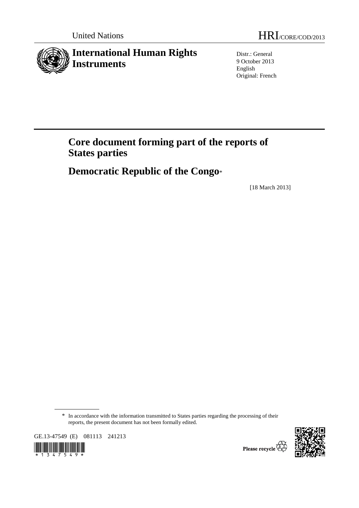

Distr.: General 9 October 2013 English Original: French

# **Core document forming part of the reports of States parties**

 **Democratic Republic of the Congo**\*

[18 March 2013]

GE.13-47549 (E) 081113 241213







<sup>\*</sup> In accordance with the information transmitted to States parties regarding the processing of their reports, the present document has not been formally edited.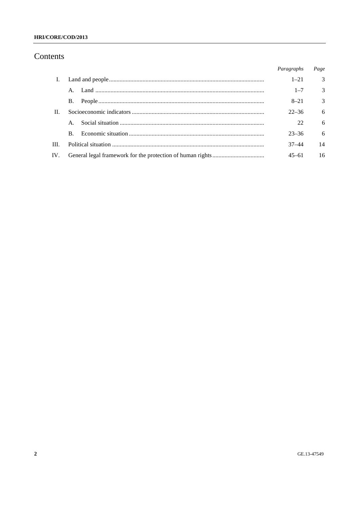#### HRI/CORE/COD/2013

# Contents

|         |    | Paragraphs | Page           |
|---------|----|------------|----------------|
| Ι.      |    | $1 - 21$   | $\overline{3}$ |
|         |    | $1 - 7$    | $\mathcal{E}$  |
|         | B. | $8 - 21$   | $\mathcal{E}$  |
| $\Pi$ . |    | $22 - 36$  | -6             |
|         |    | 22         | 6              |
|         | B. | $23 - 36$  | 6              |
| III     |    | $37 - 44$  | 14             |
| IV.     |    | $45 - 61$  | 16             |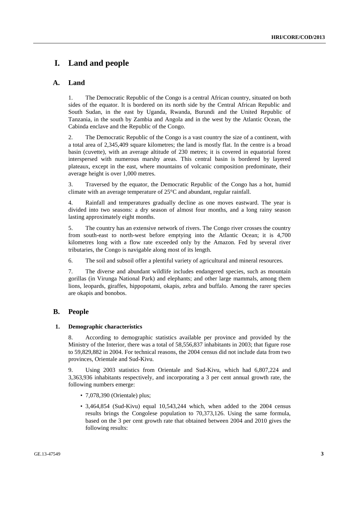# **I. Land and people**

### **A. Land**

1. The Democratic Republic of the Congo is a central African country, situated on both sides of the equator. It is bordered on its north side by the Central African Republic and South Sudan, in the east by Uganda, Rwanda, Burundi and the United Republic of Tanzania, in the south by Zambia and Angola and in the west by the Atlantic Ocean, the Cabinda enclave and the Republic of the Congo.

2. The Democratic Republic of the Congo is a vast country the size of a continent, with a total area of 2,345,409 square kilometres; the land is mostly flat. In the centre is a broad basin (cuvette), with an average altitude of 230 metres; it is covered in equatorial forest interspersed with numerous marshy areas. This central basin is bordered by layered plateaux, except in the east, where mountains of volcanic composition predominate, their average height is over 1,000 metres.

3. Traversed by the equator, the Democratic Republic of the Congo has a hot, humid climate with an average temperature of 25°C and abundant, regular rainfall.

4. Rainfall and temperatures gradually decline as one moves eastward. The year is divided into two seasons: a dry season of almost four months, and a long rainy season lasting approximately eight months.

5. The country has an extensive network of rivers. The Congo river crosses the country from south-east to north-west before emptying into the Atlantic Ocean; it is 4,700 kilometres long with a flow rate exceeded only by the Amazon. Fed by several river tributaries, the Congo is navigable along most of its length.

6. The soil and subsoil offer a plentiful variety of agricultural and mineral resources.

7. The diverse and abundant wildlife includes endangered species, such as mountain gorillas (in Virunga National Park) and elephants; and other large mammals, among them lions, leopards, giraffes, hippopotami, okapis, zebra and buffalo. Among the rarer species are okapis and bonobos.

### **B. People**

#### **1. Demographic characteristics**

8. According to demographic statistics available per province and provided by the Ministry of the Interior, there was a total of 58,556,837 inhabitants in 2003; that figure rose to 59,829,882 in 2004. For technical reasons, the 2004 census did not include data from two provinces, Orientale and Sud-Kivu.

9. Using 2003 statistics from Orientale and Sud-Kivu, which had 6,807,224 and 3,363,936 inhabitants respectively, and incorporating a 3 per cent annual growth rate, the following numbers emerge:

- 7,078,390 (Orientale) plus;
- 3,464,854 (Sud-Kivu) equal 10,543,244 which, when added to the 2004 census results brings the Congolese population to 70,373,126. Using the same formula, based on the 3 per cent growth rate that obtained between 2004 and 2010 gives the following results: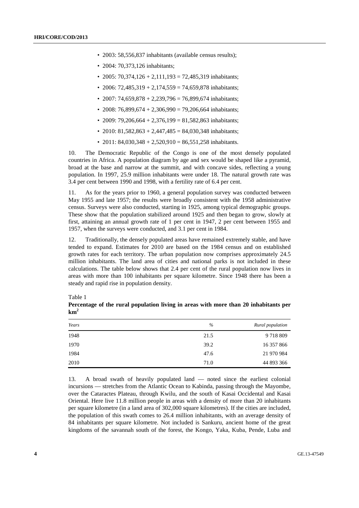- 2003: 58,556,837 inhabitants (available census results);
- 2004: 70.373.126 inhabitants:
- 2005: 70,374,126 + 2,111,193 = 72,485,319 inhabitants;
- 2006: 72,485,319 + 2,174,559 = 74,659,878 inhabitants;
- 2007: 74,659,878 + 2,239,796 = 76,899,674 inhabitants;
- 2008: 76,899,674 + 2,306,990 = 79,206,664 inhabitants;
- 2009: 79,206,664 + 2,376,199 = 81,582,863 inhabitants;
- 2010: 81,582,863 + 2,447,485 = 84,030,348 inhabitants;
- 2011: 84,030,348 + 2,520,910 = 86,551,258 inhabitants.

10. The Democratic Republic of the Congo is one of the most densely populated countries in Africa. A population diagram by age and sex would be shaped like a pyramid, broad at the base and narrow at the summit, and with concave sides, reflecting a young population. In 1997, 25.9 million inhabitants were under 18. The natural growth rate was 3.4 per cent between 1990 and 1998, with a fertility rate of 6.4 per cent.

11. As for the years prior to 1960, a general population survey was conducted between May 1955 and late 1957; the results were broadly consistent with the 1958 administrative census. Surveys were also conducted, starting in 1925, among typical demographic groups. These show that the population stabilized around 1925 and then began to grow, slowly at first, attaining an annual growth rate of 1 per cent in 1947, 2 per cent between 1955 and 1957, when the surveys were conducted, and 3.1 per cent in 1984.

12. Traditionally, the densely populated areas have remained extremely stable, and have tended to expand. Estimates for 2010 are based on the 1984 census and on established growth rates for each territory. The urban population now comprises approximately 24.5 million inhabitants. The land area of cities and national parks is not included in these calculations. The table below shows that 2.4 per cent of the rural population now lives in areas with more than 100 inhabitants per square kilometre. Since 1948 there has been a steady and rapid rise in population density.

*Years % Rural population*  1948 21.5 9 718 809 1970 39.2 16 357 866 1984 47.6 21 970 984 2010 71.0 44 893 366

Table 1

13. A broad swath of heavily populated land — noted since the earliest colonial incursions — stretches from the Atlantic Ocean to Kabinda, passing through the Mayombe, over the Cataractes Plateau, through Kwilu, and the south of Kasai Occidental and Kasai Oriental. Here live 11.8 million people in areas with a density of more than 20 inhabitants per square kilometre (in a land area of 302,000 square kilometres). If the cities are included, the population of this swath comes to 26.4 million inhabitants, with an average density of 84 inhabitants per square kilometre. Not included is Sankuru, ancient home of the great kingdoms of the savannah south of the forest, the Kongo, Yaka, Kuba, Pende, Luba and

| Percentage of the rural population living in areas with more than 20 inhabitants per |  |  |  |
|--------------------------------------------------------------------------------------|--|--|--|
| km <sup>2</sup>                                                                      |  |  |  |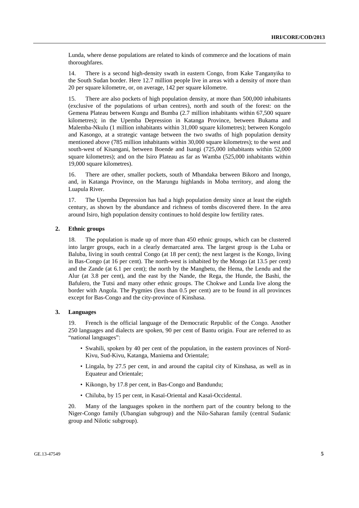Lunda, where dense populations are related to kinds of commerce and the locations of main thoroughfares.

14. There is a second high-density swath in eastern Congo, from Kake Tanganyika to the South Sudan border. Here 12.7 million people live in areas with a density of more than 20 per square kilometre, or, on average, 142 per square kilometre.

15. There are also pockets of high population density, at more than 500,000 inhabitants (exclusive of the populations of urban centres), north and south of the forest: on the Gemena Plateau between Kungu and Bumba (2.7 million inhabitants within 67,500 square kilometres); in the Upemba Depression in Katanga Province, between Bukama and Malemba-Nkulu (1 million inhabitants within 31,000 square kilometres); between Kongolo and Kasongo, at a strategic vantage between the two swaths of high population density mentioned above (785 million inhabitants within 30,000 square kilometres); to the west and south-west of Kisangani, between Boende and Isangi (725,000 inhabitants within 52,000 square kilometres); and on the Isiro Plateau as far as Wamba (525,000 inhabitants within 19,000 square kilometres).

16. There are other, smaller pockets, south of Mbandaka between Bikoro and Inongo, and, in Katanga Province, on the Marungu highlands in Moba territory, and along the Luapula River.

17. The Upemba Depression has had a high population density since at least the eighth century, as shown by the abundance and richness of tombs discovered there. In the area around Isiro, high population density continues to hold despite low fertility rates.

#### **2. Ethnic groups**

18. The population is made up of more than 450 ethnic groups, which can be clustered into larger groups, each in a clearly demarcated area. The largest group is the Luba or Baluba, living in south central Congo (at 18 per cent); the next largest is the Kongo, living in Bas-Congo (at 16 per cent). The north-west is inhabited by the Mongo (at 13.5 per cent) and the Zande (at 6.1 per cent); the north by the Mangbetu, the Hema, the Lendu and the Alur (at 3.8 per cent), and the east by the Nande, the Rega, the Hunde, the Bashi, the Bafulero, the Tutsi and many other ethnic groups. The Chokwe and Lunda live along the border with Angola. The Pygmies (less than 0.5 per cent) are to be found in all provinces except for Bas-Congo and the city-province of Kinshasa.

#### **3. Languages**

19. French is the official language of the Democratic Republic of the Congo. Another 250 languages and dialects are spoken, 90 per cent of Bantu origin. Four are referred to as "national languages":

- Swahili, spoken by 40 per cent of the population, in the eastern provinces of Nord-Kivu, Sud-Kivu, Katanga, Maniema and Orientale;
- Lingala, by 27.5 per cent, in and around the capital city of Kinshasa, as well as in Equateur and Orientale;
- Kikongo, by 17.8 per cent, in Bas-Congo and Bandundu;
- Chiluba, by 15 per cent, in Kasaï-Oriental and Kasaï-Occidental.

20. Many of the languages spoken in the northern part of the country belong to the Niger-Congo family (Ubangian subgroup) and the Nilo-Saharan family (central Sudanic group and Nilotic subgroup).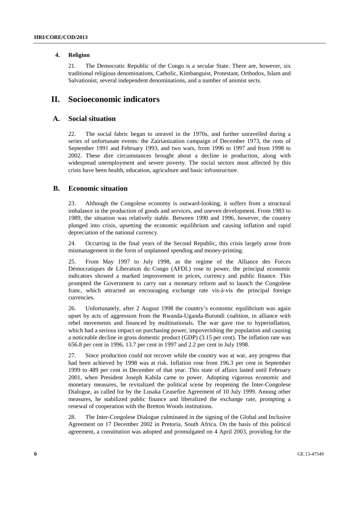#### **4. Religion**

21. The Democratic Republic of the Congo is a secular State. There are, however, six traditional religious denominations, Catholic, Kimbanguist, Protestant, Orthodox, Islam and Salvationist, several independent denominations, and a number of animist sects.

# **II. Socioeconomic indicators**

### **A. Social situation**

22. The social fabric began to unravel in the 1970s, and further unravelled during a series of unfortunate events: the Zairianization campaign of December 1973, the riots of September 1991 and February 1993, and two wars, from 1996 to 1997 and from 1998 to 2002. These dire circumstances brought about a decline in production, along with widespread unemployment and severe poverty. The social sectors most affected by this crisis have been health, education, agriculture and basic infrastructure.

### **B. Economic situation**

23. Although the Congolese economy is outward-looking, it suffers from a structural imbalance in the production of goods and services, and uneven development. From 1983 to 1989, the situation was relatively stable. Between 1990 and 1996, however, the country plunged into crisis, upsetting the economic equilibrium and causing inflation and rapid depreciation of the national currency.

24. Occurring in the final years of the Second Republic, this crisis largely arose from mismanagement in the form of unplanned spending and money-printing.

25. From May 1997 to July 1998, as the regime of the Alliance des Forces Démocratiques de Líberation du Congo (AFDL) rose to power, the principal economic indicators showed a marked improvement in prices, currency and public finance. This prompted the Government to carry out a monetary reform and to launch the Congolese franc, which attracted an encouraging exchange rate vis-à-vis the principal foreign currencies.

26. Unfortunately, after 2 August 1998 the country's economic equilibrium was again upset by acts of aggression from the Rwanda-Uganda-Burundi coalition, in alliance with rebel movements and financed by multinationals. The war gave rise to hyperinflation, which had a serious impact on purchasing power, impoverishing the population and causing a noticeable decline in gross domestic product (GDP) (3.15 per cent). The inflation rate was 656.8 per cent in 1996, 13.7 per cent in 1997 and 2.2 per cent in July 1998.

27. Since production could not recover while the country was at war, any progress that had been achieved by 1998 was at risk. Inflation rose from 196.3 per cent in September 1999 to 489 per cent in December of that year. This state of affairs lasted until February 2001, when President Joseph Kabila came to power. Adopting vigorous economic and monetary measures, he revitalized the political scene by reopening the Inter-Congolese Dialogue, as called for by the Lusaka Ceasefire Agreement of 10 July 1999. Among other measures, he stabilized public finance and liberalized the exchange rate, prompting a renewal of cooperation with the Bretton Woods institutions.

28. The Inter-Congolese Dialogue culminated in the signing of the Global and Inclusive Agreement on 17 December 2002 in Pretoria, South Africa. On the basis of this political agreement, a constitution was adopted and promulgated on 4 April 2003, providing for the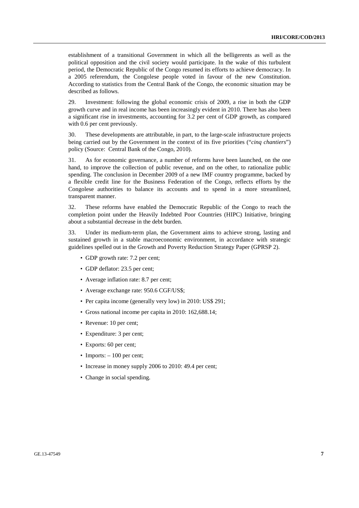establishment of a transitional Government in which all the belligerents as well as the political opposition and the civil society would participate. In the wake of this turbulent period, the Democratic Republic of the Congo resumed its efforts to achieve democracy. In a 2005 referendum, the Congolese people voted in favour of the new Constitution. According to statistics from the Central Bank of the Congo, the economic situation may be described as follows.

29. Investment: following the global economic crisis of 2009, a rise in both the GDP growth curve and in real income has been increasingly evident in 2010. There has also been a significant rise in investments, accounting for 3.2 per cent of GDP growth, as compared with 0.6 per cent previously.

30. These developments are attributable, in part, to the large-scale infrastructure projects being carried out by the Government in the context of its five priorities ("*cinq chantiers*") policy (Source: Central Bank of the Congo, 2010).

31. As for economic governance, a number of reforms have been launched, on the one hand, to improve the collection of public revenue, and on the other, to rationalize public spending. The conclusion in December 2009 of a new IMF country programme, backed by a flexible credit line for the Business Federation of the Congo, reflects efforts by the Congolese authorities to balance its accounts and to spend in a more streamlined, transparent manner.

32. These reforms have enabled the Democratic Republic of the Congo to reach the completion point under the Heavily Indebted Poor Countries (HIPC) Initiative, bringing about a substantial decrease in the debt burden.

33. Under its medium-term plan, the Government aims to achieve strong, lasting and sustained growth in a stable macroeconomic environment, in accordance with strategic guidelines spelled out in the Growth and Poverty Reduction Strategy Paper (GPRSP 2).

- GDP growth rate: 7.2 per cent;
- GDP deflator: 23.5 per cent;
- Average inflation rate: 8.7 per cent;
- Average exchange rate: 950.6 CGF/US\$;
- Per capita income (generally very low) in 2010: US\$ 291:
- Gross national income per capita in 2010: 162,688.14;
- Revenue: 10 per cent;
- Expenditure: 3 per cent;
- Exports: 60 per cent;
- Imports:  $-100$  per cent;
- Increase in money supply 2006 to 2010: 49.4 per cent;
- Change in social spending.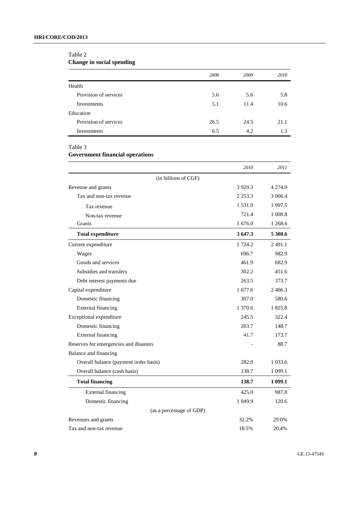#### Table 2

**Change in social spending** 

|                       | 2008 | 2009 | 2010 |
|-----------------------|------|------|------|
| Health                |      |      |      |
| Provision of services | 5.6  | 5.6  | 5.8  |
| Investments           | 5.1  | 11.4 | 10.6 |
| Education             |      |      |      |
| Provision of services | 26.5 | 24.5 | 21.1 |
| Investments           | 6.5  | 4.2  | 1.3  |

Table 3

### **Government financial operations**

|                                        | 2010       | 2011        |
|----------------------------------------|------------|-------------|
| (in billions of CGF)                   |            |             |
| Revenue and grants                     | 3 9 29.3   | 4 2 7 4 .9  |
| Tax and non-tax revenue                | 2 2 5 3 .3 | 3 006.4     |
| Tax revenue                            | 1 5 3 1 .9 | 1997.5      |
| Non-tax revenue                        | 721.4      | 1 008.8     |
| Grants                                 | 1 676.0    | 1 268.6     |
| <b>Total expenditure</b>               | 3 647.3    | 5 308.6     |
| Current expenditure                    | 1 724.2    | 2491.1      |
| Wages                                  | 696.7      | 982.9       |
| Goods and services                     | 461.9      | 682.9       |
| Subsidies and transfers                | 302.2      | 451.6       |
| Debt interest payments due             | 263.5      | 373.7       |
| Capital expenditure                    | 1 677.6    | 2406.3      |
| Domestic financing                     | 307.0      | 580.6       |
| <b>External financing</b>              | 1 370.6    | 1825.8      |
| Exceptional expenditure                | 245.5      | 322.4       |
| Domestic financing                     | 203.7      | 148.7       |
| <b>External financing</b>              | 41.7       | 173.7       |
| Reserves for emergencies and disasters |            | 88.7        |
| Balance and financing                  |            |             |
| Overall balance (payment order basis)  | 282.0      | 1 0 3 3 . 6 |
| Overall balance (cash basis)           | 138.7      | 1 0 9 9.1   |
| <b>Total financing</b>                 | 138.7      | 1 099.1     |
| <b>External financing</b>              | 425.0      | 987.8       |
| Domestic financing                     | 1 049.9    | 120.6       |
| (as a percentage of GDP)               |            |             |
| Revenues and grants                    | 32.2%      | 29.0%       |
| Tax and non-tax revenue                | 18.5%      | 20.4%       |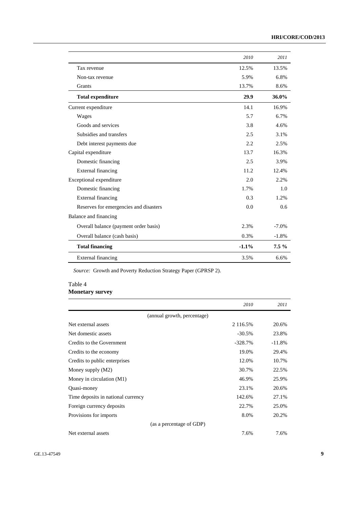|                                        | 2010    | 2011    |
|----------------------------------------|---------|---------|
| Tax revenue                            | 12.5%   | 13.5%   |
| Non-tax revenue                        | 5.9%    | 6.8%    |
| Grants                                 | 13.7%   | 8.6%    |
| <b>Total expenditure</b>               | 29.9    | 36.0%   |
| Current expenditure                    | 14.1    | 16.9%   |
| Wages                                  | 5.7     | 6.7%    |
| Goods and services                     | 3.8     | 4.6%    |
| Subsidies and transfers                | 2.5     | 3.1%    |
| Debt interest payments due             | 2.2.    | 2.5%    |
| Capital expenditure                    | 13.7    | 16.3%   |
| Domestic financing                     | 2.5     | 3.9%    |
| External financing                     | 11.2    | 12.4%   |
| Exceptional expenditure                | 2.0     | 2.2%    |
| Domestic financing                     | 1.7%    | 1.0     |
| External financing                     | 0.3     | 1.2%    |
| Reserves for emergencies and disasters | 0.0     | 0.6     |
| Balance and financing                  |         |         |
| Overall balance (payment order basis)  | 2.3%    | $-7.0%$ |
| Overall balance (cash basis)           | 0.3%    | $-1.8%$ |
| <b>Total financing</b>                 | $-1.1%$ | $7.5\%$ |
| <b>External financing</b>              | 3.5%    | 6.6%    |

*Source:* Growth and Poverty Reduction Strategy Paper (GPRSP 2).

### Table 4 **Monetary survey**

|                                    | 2010      | 2011     |
|------------------------------------|-----------|----------|
| (annual growth, percentage)        |           |          |
| Net external assets                | 2 116.5%  | 20.6%    |
| Net domestic assets                | $-30.5%$  | 23.8%    |
| Credits to the Government          | $-328.7%$ | $-11.8%$ |
| Credits to the economy             | 19.0%     | 29.4%    |
| Credits to public enterprises      | 12.0%     | 10.7%    |
| Money supply (M2)                  | 30.7%     | 22.5%    |
| Money in circulation (M1)          | 46.9%     | 25.9%    |
| Quasi-money                        | 23.1%     | 20.6%    |
| Time deposits in national currency | 142.6%    | 27.1%    |
| Foreign currency deposits          | 22.7%     | 25.0%    |
| Provisions for imports             | 8.0%      | 20.2%    |
| (as a percentage of GDP)           |           |          |
| Net external assets                | 7.6%      | 7.6%     |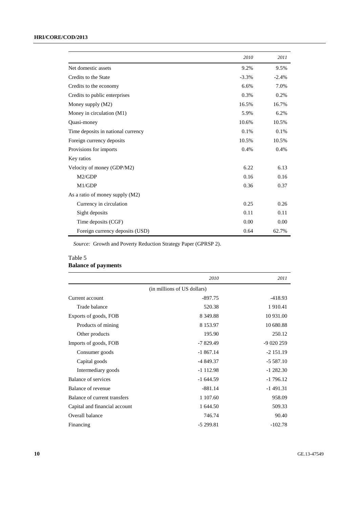|                                    | 2010    | 2011    |
|------------------------------------|---------|---------|
| Net domestic assets                | 9.2%    | 9.5%    |
| Credits to the State               | $-3.3%$ | $-2.4%$ |
| Credits to the economy             | 6.6%    | 7.0%    |
| Credits to public enterprises      | 0.3%    | 0.2%    |
| Money supply (M2)                  | 16.5%   | 16.7%   |
| Money in circulation (M1)          | 5.9%    | 6.2%    |
| Quasi-money                        | 10.6%   | 10.5%   |
| Time deposits in national currency | 0.1%    | 0.1%    |
| Foreign currency deposits          | 10.5%   | 10.5%   |
| Provisions for imports             | 0.4%    | 0.4%    |
| Key ratios                         |         |         |
| Velocity of money (GDP/M2)         | 6.22    | 6.13    |
| M2/GDP                             | 0.16    | 0.16    |
| M1/GDP                             | 0.36    | 0.37    |
| As a ratio of money supply (M2)    |         |         |
| Currency in circulation            | 0.25    | 0.26    |
| Sight deposits                     | 0.11    | 0.11    |
| Time deposits (CGF)                | 0.00    | 0.00    |
| Foreign currency deposits (USD)    | 0.64    | 62.7%   |

*Source:* Growth and Poverty Reduction Strategy Paper (GPRSP 2).

#### Table 5

# **Balance of payments**

|                               | 2010                        | 2011        |
|-------------------------------|-----------------------------|-------------|
|                               | (in millions of US dollars) |             |
| Current account               | $-897.75$                   | $-418.93$   |
| Trade balance                 | 520.38                      | 1910.41     |
| Exports of goods, FOB         | 8 3 4 9 . 8 8               | 10 931.00   |
| Products of mining            | 8 1 5 3 . 9 7               | 10 680.88   |
| Other products                | 195.90                      | 250.12      |
| Imports of goods, FOB         | $-7829.49$                  | $-9020259$  |
| Consumer goods                | $-1867.14$                  | $-2$ 151.19 |
| Capital goods                 | $-4849.37$                  | $-5587.10$  |
| Intermediary goods            | $-1$ 112.98                 | $-1282.30$  |
| Balance of services           | $-1644.59$                  | $-1796.12$  |
| Balance of revenue            | $-881.14$                   | $-1491.31$  |
| Balance of current transfers  | 1 107.60                    | 958.09      |
| Capital and financial account | 1 644.50                    | 509.33      |
| Overall balance               | 746.74                      | 90.40       |
| Financing                     | $-5299.81$                  | $-102.78$   |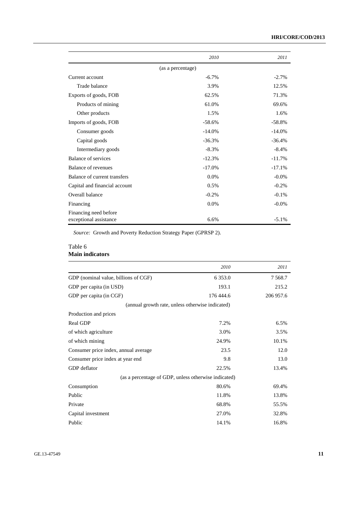|                                                 | 2010              | 2011     |
|-------------------------------------------------|-------------------|----------|
|                                                 | (as a percentage) |          |
| Current account                                 | $-6.7\%$          | $-2.7%$  |
| Trade balance                                   | 3.9%              | 12.5%    |
| Exports of goods, FOB                           | 62.5%             | 71.3%    |
| Products of mining                              | 61.0%             | 69.6%    |
| Other products                                  | 1.5%              | 1.6%     |
| Imports of goods, FOB                           | $-58.6%$          | $-58.8%$ |
| Consumer goods                                  | $-14.0%$          | $-14.0%$ |
| Capital goods                                   | $-36.3%$          | $-36.4%$ |
| Intermediary goods                              | $-8.3%$           | $-8.4%$  |
| Balance of services                             | $-12.3%$          | $-11.7%$ |
| Balance of revenues                             | $-17.0%$          | $-17.1%$ |
| Balance of current transfers                    | 0.0%              | $-0.0\%$ |
| Capital and financial account                   | 0.5%              | $-0.2%$  |
| Overall balance                                 | $-0.2%$           | $-0.1%$  |
| Financing                                       | $0.0\%$           | $-0.0\%$ |
| Financing need before<br>exceptional assistance | 6.6%              | $-5.1%$  |

*Source:* Growth and Poverty Reduction Strategy Paper (GPRSP 2).

#### Table 6 **Main indicators**

|                                                      | 2010       | 2011      |
|------------------------------------------------------|------------|-----------|
| GDP (nominal value, billions of CGF)                 | 6 3 5 3 .0 | 7 5 6 8.7 |
| GDP per capita (in USD)                              | 193.1      | 215.2     |
| GDP per capita (in CGF)                              | 176 444.6  | 206 957.6 |
| (annual growth rate, unless otherwise indicated)     |            |           |
| Production and prices                                |            |           |
| <b>Real GDP</b>                                      | 7.2%       | 6.5%      |
| of which agriculture                                 | 3.0%       | 3.5%      |
| of which mining                                      | 24.9%      | 10.1%     |
| Consumer price index, annual average                 | 23.5       | 12.0      |
| Consumer price index at year end                     | 9.8        | 13.0      |
| GDP deflator                                         | 22.5%      | 13.4%     |
| (as a percentage of GDP, unless otherwise indicated) |            |           |
| Consumption                                          | 80.6%      | 69.4%     |
| Public                                               | 11.8%      | 13.8%     |
| Private                                              | 68.8%      | 55.5%     |
| Capital investment                                   | 27.0%      | 32.8%     |
| Public                                               | 14.1%      | 16.8%     |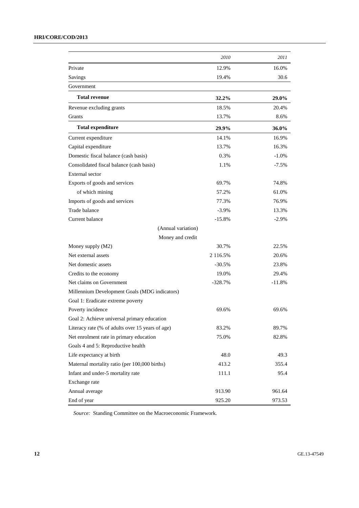|                                                  | 2010      | 2011     |
|--------------------------------------------------|-----------|----------|
| Private                                          | 12.9%     | 16.0%    |
| Savings                                          | 19.4%     | 30.6     |
| Government                                       |           |          |
| <b>Total revenue</b>                             | 32.2%     | 29.0%    |
| Revenue excluding grants                         | 18.5%     | 20.4%    |
| Grants                                           | 13.7%     | 8.6%     |
| <b>Total expenditure</b>                         | 29.9%     | 36.0%    |
| Current expenditure                              | 14.1%     | 16.9%    |
| Capital expenditure                              | 13.7%     | 16.3%    |
| Domestic fiscal balance (cash basis)             | 0.3%      | $-1.0%$  |
| Consolidated fiscal balance (cash basis)         | 1.1%      | $-7.5%$  |
| External sector                                  |           |          |
| Exports of goods and services                    | 69.7%     | 74.8%    |
| of which mining                                  | 57.2%     | 61.0%    |
| Imports of goods and services                    | 77.3%     | 76.9%    |
| Trade balance                                    | $-3.9%$   | 13.3%    |
| Current balance                                  | $-15.8%$  | $-2.9%$  |
| (Annual variation)                               |           |          |
| Money and credit                                 |           |          |
| Money supply (M2)                                | 30.7%     | 22.5%    |
| Net external assets                              | 2 116.5%  | 20.6%    |
| Net domestic assets                              | $-30.5%$  | 23.8%    |
| Credits to the economy                           | 19.0%     | 29.4%    |
| Net claims on Government                         | $-328.7%$ | $-11.8%$ |
| Millennium Development Goals (MDG indicators)    |           |          |
| Goal 1: Eradicate extreme poverty                |           |          |
| Poverty incidence                                | 69.6%     | 69.6%    |
| Goal 2: Achieve universal primary education      |           |          |
| Literacy rate (% of adults over 15 years of age) | 83.2%     | 89.7%    |
| Net enrolment rate in primary education          | 75.0%     | 82.8%    |
| Goals 4 and 5: Reproductive health               |           |          |
| Life expectancy at birth                         | 48.0      | 49.3     |
| Maternal mortality ratio (per 100,000 births)    | 413.2     | 355.4    |
| Infant and under-5 mortality rate                | 111.1     | 95.4     |
| Exchange rate                                    |           |          |
| Annual average                                   | 913.90    | 961.64   |
| End of year                                      | 925.20    | 973.53   |

*Source:* Standing Committee on the Macroeconomic Framework.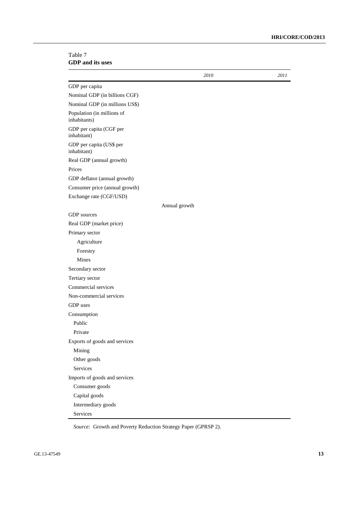#### Table 7 **GDP and its uses**

|                                            | 2010          | 2011 |
|--------------------------------------------|---------------|------|
| GDP per capita                             |               |      |
| Nominal GDP (in billions CGF)              |               |      |
| Nominal GDP (in millions US\$)             |               |      |
| Population (in millions of<br>inhabitants) |               |      |
| GDP per capita (CGF per<br>inhabitant)     |               |      |
| GDP per capita (US\$ per<br>inhabitant)    |               |      |
| Real GDP (annual growth)                   |               |      |
| Prices                                     |               |      |
| GDP deflator (annual growth)               |               |      |
| Consumer price (annual growth)             |               |      |
| Exchange rate (CGF/USD)                    |               |      |
|                                            | Annual growth |      |
| <b>GDP</b> sources                         |               |      |
| Real GDP (market price)                    |               |      |
| Primary sector                             |               |      |
| Agriculture                                |               |      |
| Forestry                                   |               |      |
| Mines                                      |               |      |
| Secondary sector                           |               |      |
| Tertiary sector                            |               |      |
| Commercial services                        |               |      |
| Non-commercial services                    |               |      |
| GDP uses                                   |               |      |
| Consumption                                |               |      |
| Public                                     |               |      |
| Private                                    |               |      |
| Exports of goods and services              |               |      |
| Mining                                     |               |      |
| Other goods                                |               |      |
| Services                                   |               |      |
| Imports of goods and services              |               |      |
| Consumer goods                             |               |      |
| Capital goods                              |               |      |
| Intermediary goods                         |               |      |
| Services                                   |               |      |

*Source:* Growth and Poverty Reduction Strategy Paper (GPRSP 2).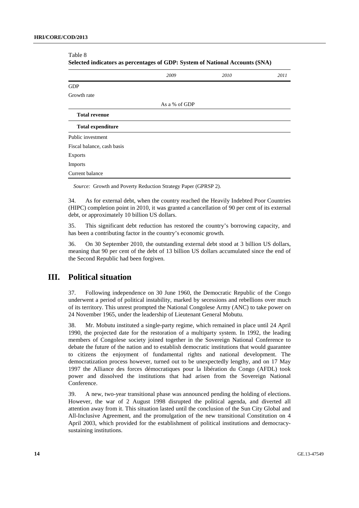| Selected indicators as percentages of GDP: System of National Accounts (SNA) |               |      |      |
|------------------------------------------------------------------------------|---------------|------|------|
|                                                                              | 2009          | 2010 | 2011 |
| <b>GDP</b>                                                                   |               |      |      |
| Growth rate                                                                  |               |      |      |
|                                                                              | As a % of GDP |      |      |
| <b>Total revenue</b>                                                         |               |      |      |
| <b>Total expenditure</b>                                                     |               |      |      |
| Public investment                                                            |               |      |      |
| Fiscal balance, cash basis                                                   |               |      |      |
| <b>Exports</b>                                                               |               |      |      |
| Imports                                                                      |               |      |      |
| Current balance                                                              |               |      |      |

Table 8

*Source:* Growth and Poverty Reduction Strategy Paper (GPRSP 2).

34. As for external debt, when the country reached the Heavily Indebted Poor Countries (HIPC) completion point in 2010, it was granted a cancellation of 90 per cent of its external debt, or approximately 10 billion US dollars.

35. This significant debt reduction has restored the country's borrowing capacity, and has been a contributing factor in the country's economic growth.

36. On 30 September 2010, the outstanding external debt stood at 3 billion US dollars, meaning that 90 per cent of the debt of 13 billion US dollars accumulated since the end of the Second Republic had been forgiven.

### **III. Political situation**

37. Following independence on 30 June 1960, the Democratic Republic of the Congo underwent a period of political instability, marked by secessions and rebellions over much of its territory. This unrest prompted the National Congolese Army (ANC) to take power on 24 November 1965, under the leadership of Lieutenant General Mobutu.

38. Mr. Mobutu instituted a single-party regime, which remained in place until 24 April 1990, the projected date for the restoration of a multiparty system. In 1992, the leading members of Congolese society joined together in the Sovereign National Conference to debate the future of the nation and to establish democratic institutions that would guarantee to citizens the enjoyment of fundamental rights and national development. The democratization process however, turned out to be unexpectedly lengthy, and on 17 May 1997 the Alliance des forces démocratiques pour la libération du Congo (AFDL) took power and dissolved the institutions that had arisen from the Sovereign National Conference.

39. A new, two-year transitional phase was announced pending the holding of elections. However, the war of 2 August 1998 disrupted the political agenda, and diverted all attention away from it. This situation lasted until the conclusion of the Sun City Global and All-Inclusive Agreement, and the promulgation of the new transitional Constitution on 4 April 2003, which provided for the establishment of political institutions and democracysustaining institutions.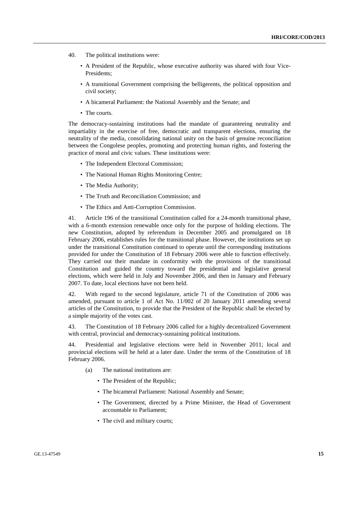- 40. The political institutions were:
	- A President of the Republic, whose executive authority was shared with four Vice-Presidents;
	- A transitional Government comprising the belligerents, the political opposition and civil society;
	- A bicameral Parliament: the National Assembly and the Senate; and
	- The courts.

The democracy-sustaining institutions had the mandate of guaranteeing neutrality and impartiality in the exercise of free, democratic and transparent elections, ensuring the neutrality of the media, consolidating national unity on the basis of genuine reconciliation between the Congolese peoples, promoting and protecting human rights, and fostering the practice of moral and civic values. These institutions were:

- The Independent Electoral Commission;
- The National Human Rights Monitoring Centre;
- The Media Authority;
- The Truth and Reconciliation Commission; and
- The Ethics and Anti-Corruption Commission.

41. Article 196 of the transitional Constitution called for a 24-month transitional phase, with a 6-month extension renewable once only for the purpose of holding elections. The new Constitution, adopted by referendum in December 2005 and promulgated on 18 February 2006, establishes rules for the transitional phase. However, the institutions set up under the transitional Constitution continued to operate until the corresponding institutions provided for under the Constitution of 18 February 2006 were able to function effectively. They carried out their mandate in conformity with the provisions of the transitional Constitution and guided the country toward the presidential and legislative general elections, which were held in July and November 2006, and then in January and February 2007. To date, local elections have not been held.

42. With regard to the second legislature, article 71 of the Constitution of 2006 was amended, pursuant to article 1 of Act No. 11/002 of 20 January 2011 amending several articles of the Constitution, to provide that the President of the Republic shall be elected by a simple majority of the votes cast.

43. The Constitution of 18 February 2006 called for a highly decentralized Government with central, provincial and democracy-sustaining political institutions.

44. Presidential and legislative elections were held in November 2011; local and provincial elections will be held at a later date. Under the terms of the Constitution of 18 February 2006.

- (a) The national institutions are:
	- The President of the Republic;
	- The bicameral Parliament: National Assembly and Senate;
	- The Government, directed by a Prime Minister, the Head of Government accountable to Parliament;
	- The civil and military courts;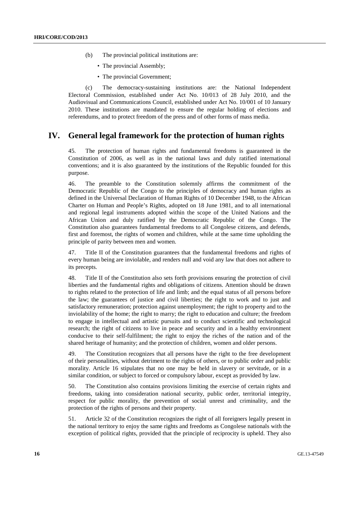- (b) The provincial political institutions are:
	- The provincial Assembly:
	- The provincial Government:

(c) The democracy-sustaining institutions are: the National Independent Electoral Commission, established under Act No. 10/013 of 28 July 2010, and the Audiovisual and Communications Council, established under Act No. 10/001 of 10 January 2010. These institutions are mandated to ensure the regular holding of elections and referendums, and to protect freedom of the press and of other forms of mass media.

### **IV. General legal framework for the protection of human rights**

45. The protection of human rights and fundamental freedoms is guaranteed in the Constitution of 2006, as well as in the national laws and duly ratified international conventions; and it is also guaranteed by the institutions of the Republic founded for this purpose.

46. The preamble to the Constitution solemnly affirms the commitment of the Democratic Republic of the Congo to the principles of democracy and human rights as defined in the Universal Declaration of Human Rights of 10 December 1948, to the African Charter on Human and People's Rights, adopted on 18 June 1981, and to all international and regional legal instruments adopted within the scope of the United Nations and the African Union and duly ratified by the Democratic Republic of the Congo. The Constitution also guarantees fundamental freedoms to all Congolese citizens, and defends, first and foremost, the rights of women and children, while at the same time upholding the principle of parity between men and women.

47. Title II of the Constitution guarantees that the fundamental freedoms and rights of every human being are inviolable, and renders null and void any law that does not adhere to its precepts.

48. Title II of the Constitution also sets forth provisions ensuring the protection of civil liberties and the fundamental rights and obligations of citizens. Attention should be drawn to rights related to the protection of life and limb; and the equal status of all persons before the law; the guarantees of justice and civil liberties; the right to work and to just and satisfactory remuneration; protection against unemployment; the right to property and to the inviolability of the home; the right to marry; the right to education and culture; the freedom to engage in intellectual and artistic pursuits and to conduct scientific and technological research; the right of citizens to live in peace and security and in a healthy environment conducive to their self-fulfilment; the right to enjoy the riches of the nation and of the shared heritage of humanity; and the protection of children, women and older persons.

49. The Constitution recognizes that all persons have the right to the free development of their personalities, without detriment to the rights of others, or to public order and public morality. Article 16 stipulates that no one may be held in slavery or servitude, or in a similar condition, or subject to forced or compulsory labour, except as provided by law.

50. The Constitution also contains provisions limiting the exercise of certain rights and freedoms, taking into consideration national security, public order, territorial integrity, respect for public morality, the prevention of social unrest and criminality, and the protection of the rights of persons and their property.

51. Article 32 of the Constitution recognizes the right of all foreigners legally present in the national territory to enjoy the same rights and freedoms as Congolese nationals with the exception of political rights, provided that the principle of reciprocity is upheld. They also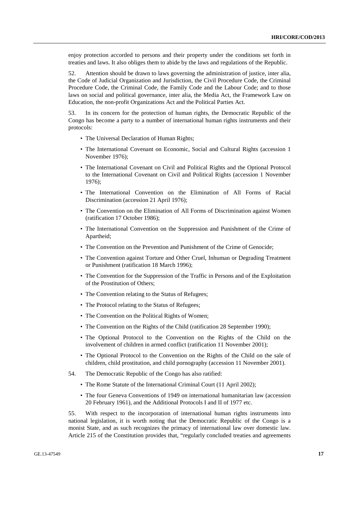enjoy protection accorded to persons and their property under the conditions set forth in treaties and laws. It also obliges them to abide by the laws and regulations of the Republic.

52. Attention should be drawn to laws governing the administration of justice, inter alia, the Code of Judicial Organization and Jurisdiction, the Civil Procedure Code, the Criminal Procedure Code, the Criminal Code, the Family Code and the Labour Code; and to those laws on social and political governance, inter alia, the Media Act, the Framework Law on Education, the non-profit Organizations Act and the Political Parties Act.

53. In its concern for the protection of human rights, the Democratic Republic of the Congo has become a party to a number of international human rights instruments and their protocols:

- The Universal Declaration of Human Rights;
- The International Covenant on Economic, Social and Cultural Rights (accession 1 November 1976);
- The International Covenant on Civil and Political Rights and the Optional Protocol to the International Covenant on Civil and Political Rights (accession 1 November 1976);
- The International Convention on the Elimination of All Forms of Racial Discrimination (accession 21 April 1976);
- The Convention on the Elimination of All Forms of Discrimination against Women (ratification 17 October 1986);
- The International Convention on the Suppression and Punishment of the Crime of Apartheid;
- The Convention on the Prevention and Punishment of the Crime of Genocide;
- The Convention against Torture and Other Cruel, Inhuman or Degrading Treatment or Punishment (ratification 18 March 1996);
- The Convention for the Suppression of the Traffic in Persons and of the Exploitation of the Prostitution of Others;
- The Convention relating to the Status of Refugees;
- The Protocol relating to the Status of Refugees;
- The Convention on the Political Rights of Women;
- The Convention on the Rights of the Child (ratification 28 September 1990);
- The Optional Protocol to the Convention on the Rights of the Child on the involvement of children in armed conflict (ratification 11 November 2001);
- The Optional Protocol to the Convention on the Rights of the Child on the sale of children, child prostitution, and child pornography (accession 11 November 2001).
- 54. The Democratic Republic of the Congo has also ratified:
	- The Rome Statute of the International Criminal Court (11 April 2002);
	- The four Geneva Conventions of 1949 on international humanitarian law (accession 20 February 1961), and the Additional Protocols I and II of 1977 etc.

55. With respect to the incorporation of international human rights instruments into national legislation, it is worth noting that the Democratic Republic of the Congo is a monist State, and as such recognizes the primacy of international law over domestic law. Article 215 of the Constitution provides that, "regularly concluded treaties and agreements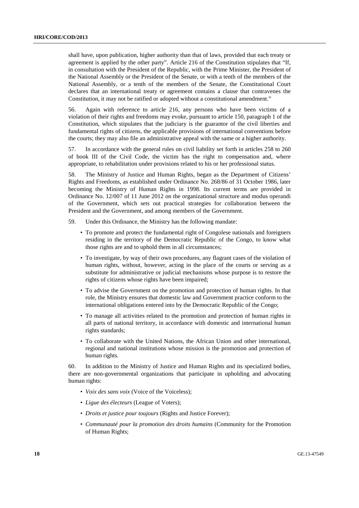shall have, upon publication, higher authority than that of laws, provided that each treaty or agreement is applied by the other party". Article 216 of the Constitution stipulates that "If, in consultation with the President of the Republic, with the Prime Minister, the President of the National Assembly or the President of the Senate, or with a tenth of the members of the National Assembly, or a tenth of the members of the Senate, the Constitutional Court declares that an international treaty or agreement contains a clause that contravenes the Constitution, it may not be ratified or adopted without a constitutional amendment."

56. Again with reference to article 216, any persons who have been victims of a violation of their rights and freedoms may evoke, pursuant to article 150, paragraph 1 of the Constitution, which stipulates that the judiciary is the guarantor of the civil liberties and fundamental rights of citizens, the applicable provisions of international conventions before the courts; they may also file an administrative appeal with the same or a higher authority.

57. In accordance with the general rules on civil liability set forth in articles 258 to 260 of book III of the Civil Code, the victim has the right to compensation and, where appropriate, to rehabilitation under provisions related to his or her professional status.

58. The Ministry of Justice and Human Rights, began as the Department of Citizens' Rights and Freedoms, as established under Ordinance No. 268/86 of 31 October 1986, later becoming the Ministry of Human Rights in 1998. Its current terms are provided in Ordinance No. 12/007 of 11 June 2012 on the organizational structure and modus operandi of the Government, which sets out practical strategies for collaboration between the President and the Government, and among members of the Government.

59. Under this Ordinance, the Ministry has the following mandate:

- To promote and protect the fundamental right of Congolese nationals and foreigners residing in the territory of the Democratic Republic of the Congo, to know what those rights are and to uphold them in all circumstances;
- To investigate, by way of their own procedures, any flagrant cases of the violation of human rights, without, however, acting in the place of the courts or serving as a substitute for administrative or judicial mechanisms whose purpose is to restore the rights of citizens whose rights have been impaired;
- To advise the Government on the promotion and protection of human rights. In that role, the Ministry ensures that domestic law and Government practice conform to the international obligations entered into by the Democratic Republic of the Congo;
- To manage all activities related to the promotion and protection of human rights in all parts of national territory, in accordance with domestic and international human rights standards;
- To collaborate with the United Nations, the African Union and other international, regional and national institutions whose mission is the promotion and protection of human rights.

60. In addition to the Ministry of Justice and Human Rights and its specialized bodies, there are non-governmental organizations that participate in upholding and advocating human rights:

- *Voix des sans voix* (Voice of the Voiceless);
- *Ligue des électeurs* (League of Voters);
- *Droits et justice pour toujours* (Rights and Justice Forever);
- *Communauté pour la promotion des droits humains* (Community for the Promotion of Human Rights;